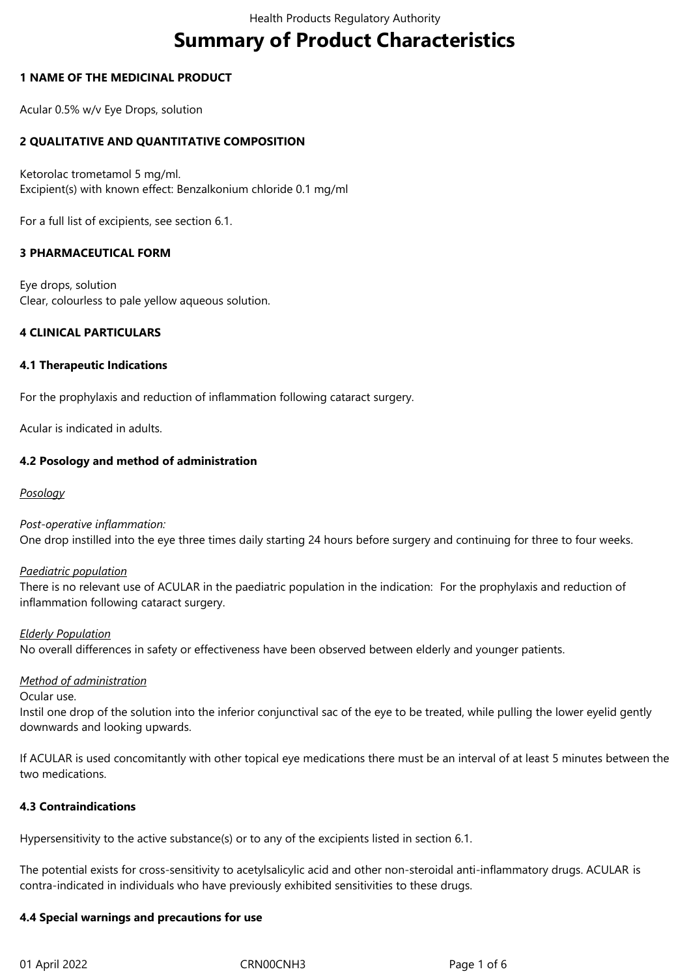# **Summary of Product Characteristics**

## **1 NAME OF THE MEDICINAL PRODUCT**

Acular 0.5% w/v Eye Drops, solution

# **2 QUALITATIVE AND QUANTITATIVE COMPOSITION**

Ketorolac trometamol 5 mg/ml. Excipient(s) with known effect: Benzalkonium chloride 0.1 mg/ml

For a full list of excipients, see section 6.1.

# **3 PHARMACEUTICAL FORM**

Eye drops, solution Clear, colourless to pale yellow aqueous solution.

## **4 CLINICAL PARTICULARS**

#### **4.1 Therapeutic Indications**

For the prophylaxis and reduction of inflammation following cataract surgery.

Acular is indicated in adults.

## **4.2 Posology and method of administration**

## *Posology*

*Post-operative inflammation:*

One drop instilled into the eye three times daily starting 24 hours before surgery and continuing for three to four weeks.

#### *Paediatric population*

There is no relevant use of ACULAR in the paediatric population in the indication: For the prophylaxis and reduction of inflammation following cataract surgery.

#### *Elderly Population*

No overall differences in safety or effectiveness have been observed between elderly and younger patients.

#### *Method of administration*

Ocular use.

Instil one drop of the solution into the inferior conjunctival sac of the eye to be treated, while pulling the lower eyelid gently downwards and looking upwards.

If ACULAR is used concomitantly with other topical eye medications there must be an interval of at least 5 minutes between the two medications.

#### **4.3 Contraindications**

Hypersensitivity to the active substance(s) or to any of the excipients listed in section 6.1.

The potential exists for cross-sensitivity to acetylsalicylic acid and other non-steroidal anti-inflammatory drugs. ACULAR is contra-indicated in individuals who have previously exhibited sensitivities to these drugs.

#### **4.4 Special warnings and precautions for use**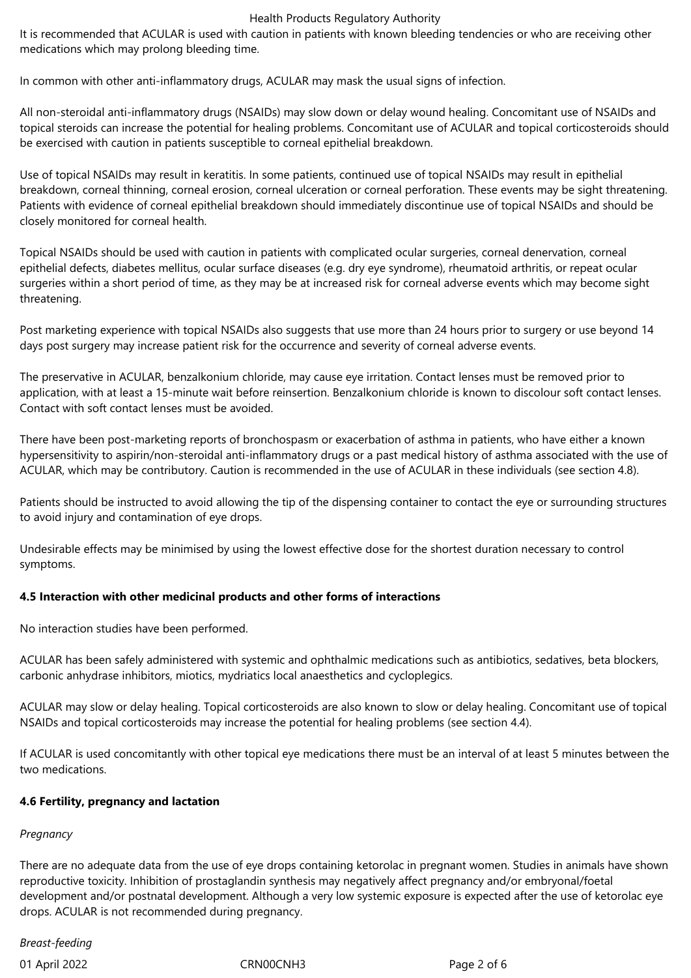#### Health Products Regulatory Authority

It is recommended that ACULAR is used with caution in patients with known bleeding tendencies or who are receiving other medications which may prolong bleeding time.

In common with other anti-inflammatory drugs, ACULAR may mask the usual signs of infection.

All non-steroidal anti-inflammatory drugs (NSAIDs) may slow down or delay wound healing. Concomitant use of NSAIDs and topical steroids can increase the potential for healing problems. Concomitant use of ACULAR and topical corticosteroids should be exercised with caution in patients susceptible to corneal epithelial breakdown.

Use of topical NSAIDs may result in keratitis. In some patients, continued use of topical NSAIDs may result in epithelial breakdown, corneal thinning, corneal erosion, corneal ulceration or corneal perforation. These events may be sight threatening. Patients with evidence of corneal epithelial breakdown should immediately discontinue use of topical NSAIDs and should be closely monitored for corneal health.

Topical NSAIDs should be used with caution in patients with complicated ocular surgeries, corneal denervation, corneal epithelial defects, diabetes mellitus, ocular surface diseases (e.g. dry eye syndrome), rheumatoid arthritis, or repeat ocular surgeries within a short period of time, as they may be at increased risk for corneal adverse events which may become sight threatening.

Post marketing experience with topical NSAIDs also suggests that use more than 24 hours prior to surgery or use beyond 14 days post surgery may increase patient risk for the occurrence and severity of corneal adverse events.

The preservative in ACULAR, benzalkonium chloride, may cause eye irritation. Contact lenses must be removed prior to application, with at least a 15-minute wait before reinsertion. Benzalkonium chloride is known to discolour soft contact lenses. Contact with soft contact lenses must be avoided.

There have been post-marketing reports of bronchospasm or exacerbation of asthma in patients, who have either a known hypersensitivity to aspirin/non-steroidal anti-inflammatory drugs or a past medical history of asthma associated with the use of ACULAR, which may be contributory. Caution is recommended in the use of ACULAR in these individuals (see section 4.8).

Patients should be instructed to avoid allowing the tip of the dispensing container to contact the eye or surrounding structures to avoid injury and contamination of eye drops.

Undesirable effects may be minimised by using the lowest effective dose for the shortest duration necessary to control symptoms.

# **4.5 Interaction with other medicinal products and other forms of interactions**

No interaction studies have been performed.

ACULAR has been safely administered with systemic and ophthalmic medications such as antibiotics, sedatives, beta blockers, carbonic anhydrase inhibitors, miotics, mydriatics local anaesthetics and cycloplegics.

ACULAR may slow or delay healing. Topical corticosteroids are also known to slow or delay healing. Concomitant use of topical NSAIDs and topical corticosteroids may increase the potential for healing problems (see section 4.4).

If ACULAR is used concomitantly with other topical eye medications there must be an interval of at least 5 minutes between the two medications.

#### **4.6 Fertility, pregnancy and lactation**

# *Pregnancy*

There are no adequate data from the use of eye drops containing ketorolac in pregnant women. Studies in animals have shown reproductive toxicity. Inhibition of prostaglandin synthesis may negatively affect pregnancy and/or embryonal/foetal development and/or postnatal development. Although a very low systemic exposure is expected after the use of ketorolac eye drops. ACULAR is not recommended during pregnancy.

*Breast-feeding*

01 April 2022 CRN00CNH3 Page 2 of 6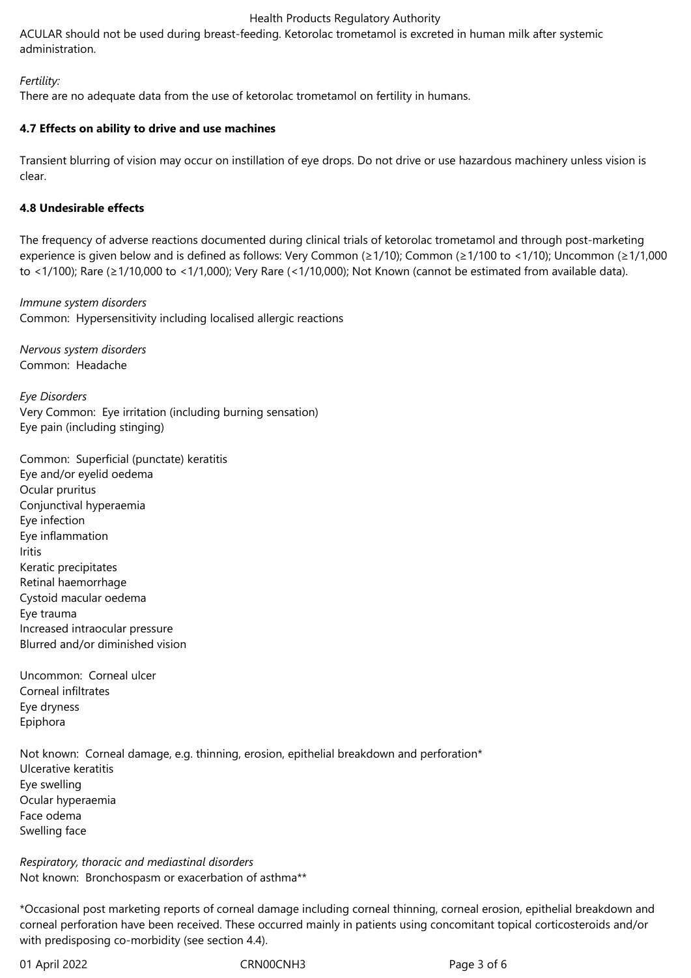#### Health Products Regulatory Authority

ACULAR should not be used during breast-feeding. Ketorolac trometamol is excreted in human milk after systemic administration.

## *Fertility:*

There are no adequate data from the use of ketorolac trometamol on fertility in humans.

## **4.7 Effects on ability to drive and use machines**

Transient blurring of vision may occur on instillation of eye drops. Do not drive or use hazardous machinery unless vision is clear.

## **4.8 Undesirable effects**

The frequency of adverse reactions documented during clinical trials of ketorolac trometamol and through post-marketing experience is given below and is defined as follows: Very Common (≥1/10); Common (≥1/100 to <1/10); Uncommon (≥1/1,000 to <1/100); Rare (≥1/10,000 to <1/1,000); Very Rare (<1/10,000); Not Known (cannot be estimated from available data).

*Immune system disorders* Common: Hypersensitivity including localised allergic reactions

*Nervous system disorders* Common: Headache

*Eye Disorders* Very Common: Eye irritation (including burning sensation) Eye pain (including stinging)

Common: Superficial (punctate) keratitis Eye and/or eyelid oedema Ocular pruritus Conjunctival hyperaemia Eye infection Eye inflammation Iritis Keratic precipitates Retinal haemorrhage Cystoid macular oedema Eye trauma Increased intraocular pressure Blurred and/or diminished vision

Uncommon: Corneal ulcer Corneal infiltrates Eye dryness Epiphora

Not known: Corneal damage, e.g. thinning, erosion, epithelial breakdown and perforation\* Ulcerative keratitis Eye swelling Ocular hyperaemia Face odema Swelling face

*Respiratory, thoracic and mediastinal disorders* Not known: Bronchospasm or exacerbation of asthma\*\*

\*Occasional post marketing reports of corneal damage including corneal thinning, corneal erosion, epithelial breakdown and corneal perforation have been received. These occurred mainly in patients using concomitant topical corticosteroids and/or with predisposing co-morbidity (see section 4.4).

01 April 2022 CRN00CNH3 Page 3 of 6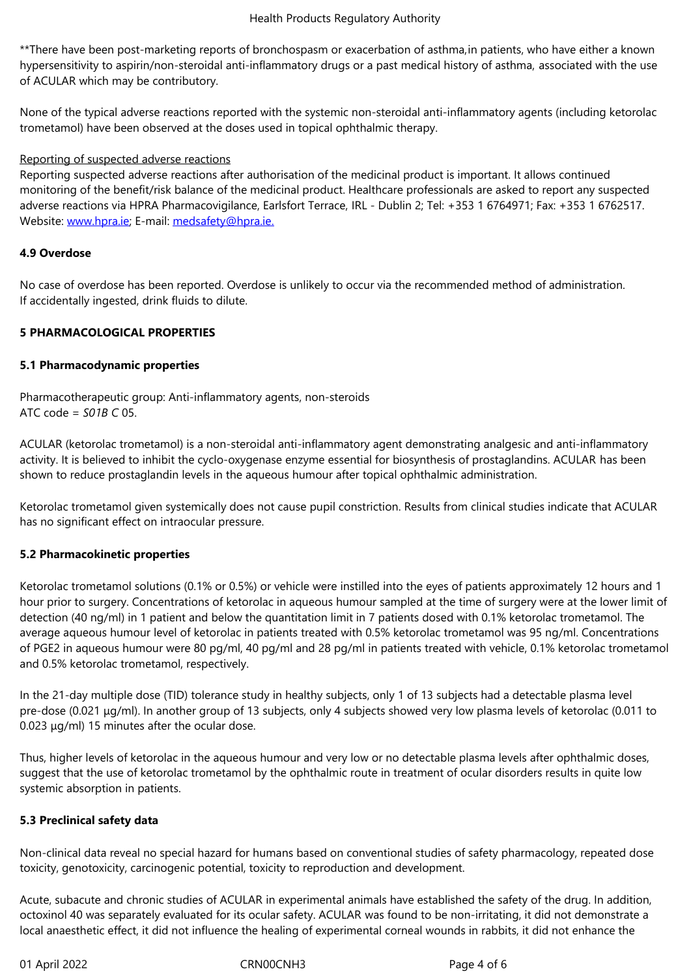hypersensitivity to aspirin/non-steroidal anti-inflammatory drugs or a past medical history of asthma, associated with the use of ACULAR which may be contributory.

None of the typical adverse reactions reported with the systemic non-steroidal anti-inflammatory agents (including ketorolac trometamol) have been observed at the doses used in topical ophthalmic therapy.

## Reporting of suspected adverse reactions

Reporting suspected adverse reactions after authorisation of the medicinal product is important. It allows continued monitoring of the benefit/risk balance of the medicinal product. Healthcare professionals are asked to report any suspected adverse reactions via HPRA Pharmacovigilance, Earlsfort Terrace, IRL - Dublin 2; Tel: +353 1 6764971; Fax: +353 1 6762517. Website: www.hpra.ie; E-mail: medsafety@hpra.ie.

## **4.9 Overdose**

No case [of overdose h](http://www.hpra.ie/)as bee[n reported. Overdose](mailto:medsafety@hpra.ie) is unlikely to occur via the recommended method of administration. If accidentally ingested, drink fluids to dilute.

## **5 PHARMACOLOGICAL PROPERTIES**

## **5.1 Pharmacodynamic properties**

Pharmacotherapeutic group: Anti-inflammatory agents, non-steroids ATC code = *S01B C* 05.

ACULAR (ketorolac trometamol) is a non-steroidal anti-inflammatory agent demonstrating analgesic and anti-inflammatory activity. It is believed to inhibit the cyclo-oxygenase enzyme essential for biosynthesis of prostaglandins. ACULAR has been shown to reduce prostaglandin levels in the aqueous humour after topical ophthalmic administration.

Ketorolac trometamol given systemically does not cause pupil constriction. Results from clinical studies indicate that ACULAR has no significant effect on intraocular pressure.

#### **5.2 Pharmacokinetic properties**

Ketorolac trometamol solutions (0.1% or 0.5%) or vehicle were instilled into the eyes of patients approximately 12 hours and 1 hour prior to surgery. Concentrations of ketorolac in aqueous humour sampled at the time of surgery were at the lower limit of detection (40 ng/ml) in 1 patient and below the quantitation limit in 7 patients dosed with 0.1% ketorolac trometamol. The average aqueous humour level of ketorolac in patients treated with 0.5% ketorolac trometamol was 95 ng/ml. Concentrations of PGE2 in aqueous humour were 80 pg/ml, 40 pg/ml and 28 pg/ml in patients treated with vehicle, 0.1% ketorolac trometamol and 0.5% ketorolac trometamol, respectively.

In the 21-day multiple dose (TID) tolerance study in healthy subjects, only 1 of 13 subjects had a detectable plasma level pre-dose (0.021 μg/ml). In another group of 13 subjects, only 4 subjects showed very low plasma levels of ketorolac (0.011 to 0.023 μg/ml) 15 minutes after the ocular dose.

Thus, higher levels of ketorolac in the aqueous humour and very low or no detectable plasma levels after ophthalmic doses, suggest that the use of ketorolac trometamol by the ophthalmic route in treatment of ocular disorders results in quite low systemic absorption in patients.

# **5.3 Preclinical safety data**

Non-clinical data reveal no special hazard for humans based on conventional studies of safety pharmacology, repeated dose toxicity, genotoxicity, carcinogenic potential, toxicity to reproduction and development.

Acute, subacute and chronic studies of ACULAR in experimental animals have established the safety of the drug. In addition, octoxinol 40 was separately evaluated for its ocular safety. ACULAR was found to be non-irritating, it did not demonstrate a local anaesthetic effect, it did not influence the healing of experimental corneal wounds in rabbits, it did not enhance the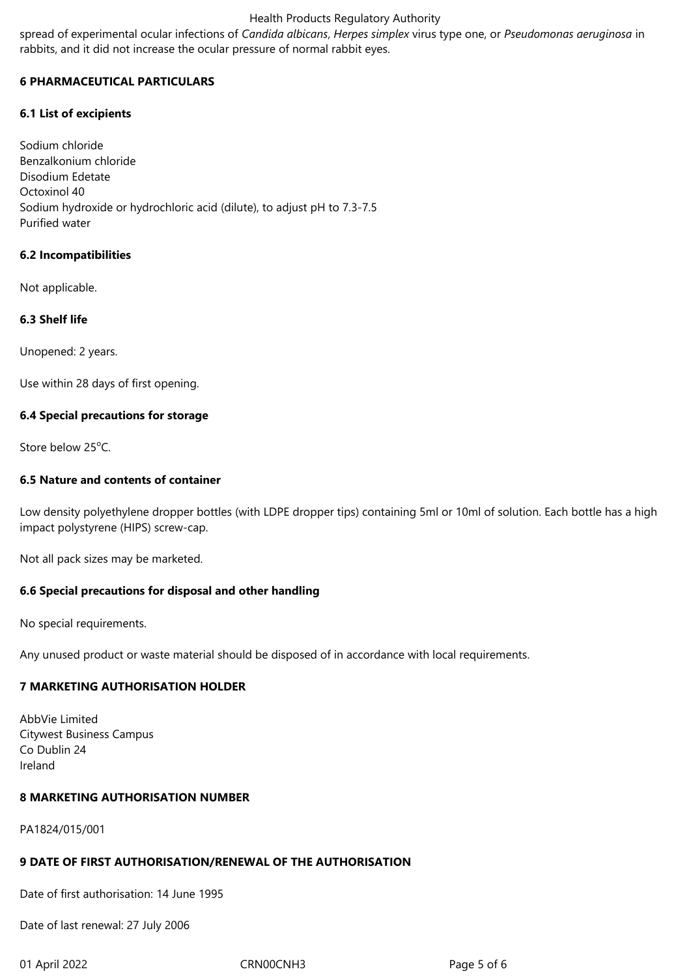## Health Products Regulatory Authority

spread of experimental ocular infections of *Candida albicans*, *Herpes simplex* virus type one, or *Pseudomonas aeruginosa* in rabbits, and it did not increase the ocular pressure of normal rabbit eyes.

## **6 PHARMACEUTICAL PARTICULARS**

## **6.1 List of excipients**

Sodium chloride Benzalkonium chloride Disodium Edetate Octoxinol 40 Sodium hydroxide or hydrochloric acid (dilute), to adjust pH to 7.3-7.5 Purified water

## **6.2 Incompatibilities**

Not applicable.

## **6.3 Shelf life**

Unopened: 2 years.

Use within 28 days of first opening.

#### **6.4 Special precautions for storage**

Store below 25°C.

## **6.5 Nature and contents of container**

Low density polyethylene dropper bottles (with LDPE dropper tips) containing 5ml or 10ml of solution. Each bottle has a high impact polystyrene (HIPS) screw-cap.

Not all pack sizes may be marketed.

#### **6.6 Special precautions for disposal and other handling**

No special requirements.

Any unused product or waste material should be disposed of in accordance with local requirements.

# **7 MARKETING AUTHORISATION HOLDER**

AbbVie Limited Citywest Business Campus Co Dublin 24 Ireland

#### **8 MARKETING AUTHORISATION NUMBER**

PA1824/015/001

## **9 DATE OF FIRST AUTHORISATION/RENEWAL OF THE AUTHORISATION**

Date of first authorisation: 14 June 1995

Date of last renewal: 27 July 2006

01 April 2022 CRN00CNH3 Page 5 of 6